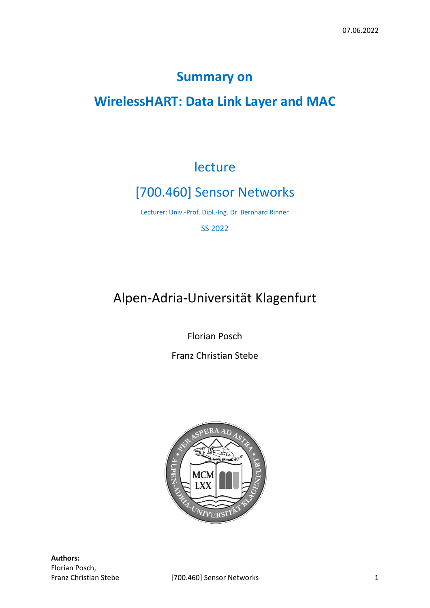# **Summary on**

# **WirelessHART: Data Link Layer and MAC**

# lecture

# [700.460] Sensor Networks

Lecturer: Univ.-Prof. Dipl.-Ing. Dr. Bernhard Rinner

SS 2022

# Alpen-Adria-Universität Klagenfurt

Florian Posch

Franz Christian Stebe

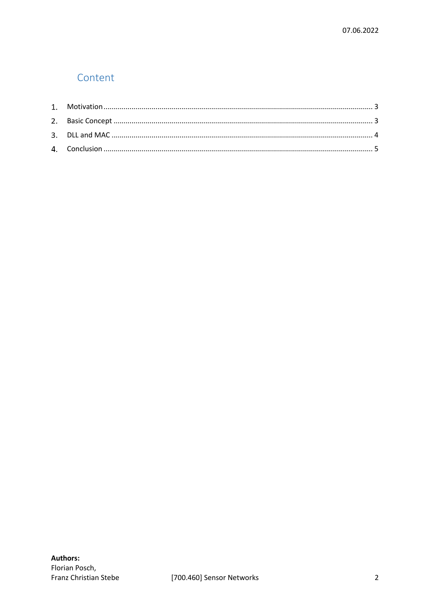## Content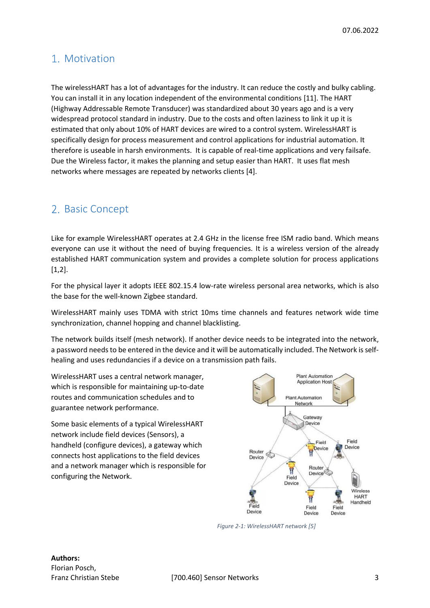## <span id="page-2-0"></span>Motivation

The wirelessHART has a lot of advantages for the industry. It can reduce the costly and bulky cabling. You can install it in any location independent of the environmental conditions [11]. The HART (Highway Addressable Remote Transducer) was standardized about 30 years ago and is a very widespread protocol standard in industry. Due to the costs and often laziness to link it up it is estimated that only about 10% of HART devices are wired to a control system. WirelessHART is specifically design for process measurement and control applications for industrial automation. It therefore is useable in harsh environments. It is capable of real-time applications and very failsafe. Due the Wireless factor, it makes the planning and setup easier than HART. It uses flat mesh networks where messages are repeated by networks clients [4].

## <span id="page-2-1"></span>2. Basic Concept

Like for example WirelessHART operates at 2.4 GHz in the license free ISM radio band. Which means everyone can use it without the need of buying frequencies. It is a wireless version of the already established HART communication system and provides a complete solution for process applications [1,2].

For the physical layer it adopts IEEE 802.15.4 low-rate wireless personal area networks, which is also the base for the well-known Zigbee standard.

WirelessHART mainly uses TDMA with strict 10ms time channels and features network wide time synchronization, channel hopping and channel blacklisting.

The network builds itself (mesh network). If another device needs to be integrated into the network, a password needs to be entered in the device and it will be automatically included. The Network is selfhealing and uses redundancies if a device on a transmission path fails.

WirelessHART uses a central network manager, which is responsible for maintaining up-to-date routes and communication schedules and to guarantee network performance.

Some basic elements of a typical WirelessHART network include field devices (Sensors), a handheld (configure devices), a gateway which connects host applications to the field devices and a network manager which is responsible for configuring the Network.



*Figure 2-1: WirelessHART network [5]*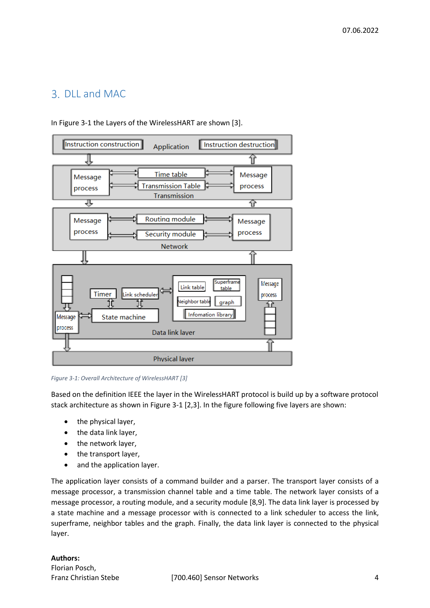## <span id="page-3-0"></span>DLL and MAC



In [Figure 3-1](#page-3-1) the Layers of the WirelessHART are shown [3].

<span id="page-3-1"></span>*Figure 3-1: Overall Architecture of WirelessHART [3]*

Based on the definition IEEE the layer in the WirelessHART protocol is build up by a software protocol stack architecture as shown in [Figure 3-1](#page-3-1) [2,3]. In the figure following five layers are shown:

- the physical layer,
- the data link layer,
- the network layer,
- the transport layer,
- and the application layer.

The application layer consists of a command builder and a parser. The transport layer consists of a message processor, a transmission channel table and a time table. The network layer consists of a message processor, a routing module, and a security module [8,9]. The data link layer is processed by a state machine and a message processor with is connected to a link scheduler to access the link, superframe, neighbor tables and the graph. Finally, the data link layer is connected to the physical layer.

### **Authors:**  Florian Posch,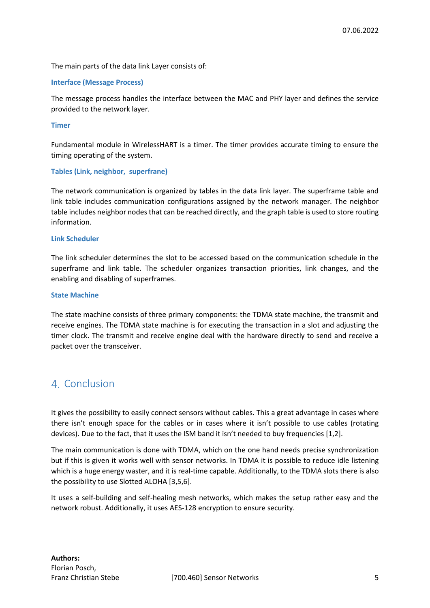The main parts of the data link Layer consists of:

### **Interface (Message Process)**

The message process handles the interface between the MAC and PHY layer and defines the service provided to the network layer.

### **Timer**

Fundamental module in WirelessHART is a timer. The timer provides accurate timing to ensure the timing operating of the system.

### **Tables (Link, neighbor, superfrane)**

The network communication is organized by tables in the data link layer. The superframe table and link table includes communication configurations assigned by the network manager. The neighbor table includes neighbor nodes that can be reached directly, and the graph table is used to store routing information.

### **Link Scheduler**

The link scheduler determines the slot to be accessed based on the communication schedule in the superframe and link table. The scheduler organizes transaction priorities, link changes, and the enabling and disabling of superframes.

### **State Machine**

The state machine consists of three primary components: the TDMA state machine, the transmit and receive engines. The TDMA state machine is for executing the transaction in a slot and adjusting the timer clock. The transmit and receive engine deal with the hardware directly to send and receive a packet over the transceiver.

## <span id="page-4-0"></span>4. Conclusion

It gives the possibility to easily connect sensors without cables. This a great advantage in cases where there isn't enough space for the cables or in cases where it isn't possible to use cables (rotating devices). Due to the fact, that it uses the ISM band it isn't needed to buy frequencies [1,2].

The main communication is done with TDMA, which on the one hand needs precise synchronization but if this is given it works well with sensor networks. In TDMA it is possible to reduce idle listening which is a huge energy waster, and it is real-time capable. Additionally, to the TDMA slots there is also the possibility to use Slotted ALOHA [3,5,6].

It uses a self-building and self-healing mesh networks, which makes the setup rather easy and the network robust. Additionally, it uses AES-128 encryption to ensure security.